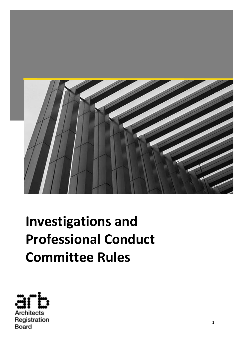

# **Investigations and Professional Conduct Committee Rules**

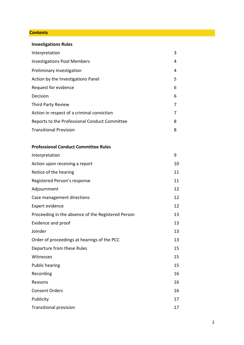## **Contents**

| <b>Investigations Rules</b>                   |   |
|-----------------------------------------------|---|
| Interpretation                                | 3 |
| <b>Investigations Pool Members</b>            | 4 |
| Preliminary Investigation                     | 4 |
| Action by the Investigations Panel            | 5 |
| Request for evidence                          | 6 |
| Decision                                      | 6 |
| <b>Third Party Review</b>                     |   |
| Action in respect of a criminal conviction    |   |
| Reports to the Professional Conduct Committee | 8 |
| <b>Transitional Provision</b>                 | 8 |

# **Professional Conduct Committee Rules**

| Interpretation                                     | 9  |
|----------------------------------------------------|----|
| Action upon receiving a report                     | 10 |
| Notice of the hearing                              | 11 |
| Registered Person's response                       | 11 |
| Adjournment                                        | 12 |
| Case management directions                         | 12 |
| Expert evidence                                    | 12 |
| Proceeding in the absence of the Registered Person | 13 |
| Evidence and proof                                 | 13 |
| Joinder                                            | 13 |
| Order of proceedings at hearings of the PCC        | 13 |
| Departure from these Rules                         | 15 |
| Witnesses                                          | 15 |
| <b>Public hearing</b>                              | 15 |
| Recording                                          | 16 |
| Reasons                                            | 16 |
| <b>Consent Orders</b>                              | 16 |
| Publicity                                          | 17 |
| <b>Transitional provision</b>                      | 17 |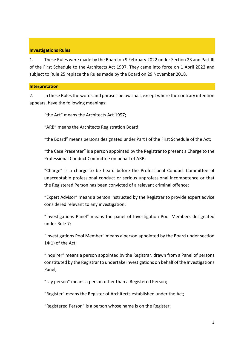# **Investigations Rules**

1. These Rules were made by the Board on 9 February 2022 under Section 23 and Part III of the First Schedule to the Architects Act 1997. They came into force on 1 April 2022 and subject to Rule 25 replace the Rules made by the Board on 29 November 2018.

#### **Interpretation**

2. In these Rules the words and phrases below shall, except where the contrary intention appears, have the following meanings:

"the Act" means the Architects Act 1997;

"ARB" means the Architects Registration Board;

"the Board" means persons designated under Part I of the First Schedule of the Act;

"the Case Presenter" is a person appointed by the Registrar to present a Charge to the Professional Conduct Committee on behalf of ARB;

"Charge" is a charge to be heard before the Professional Conduct Committee of unacceptable professional conduct or serious unprofessional incompetence or that the Registered Person has been convicted of a relevant criminal offence;

"Expert Advisor" means a person instructed by the Registrar to provide expert advice considered relevant to any investigation;

"Investigations Panel" means the panel of Investigation Pool Members designated under Rule 7;

"Investigations Pool Member" means a person appointed by the Board under section 14(1) of the Act;

"Inquirer" means a person appointed by the Registrar, drawn from a Panel of persons constituted by the Registrar to undertake investigations on behalf of the Investigations Panel;

"Lay person" means a person other than a Registered Person;

"Register" means the Register of Architects established under the Act;

"Registered Person" is a person whose name is on the Register;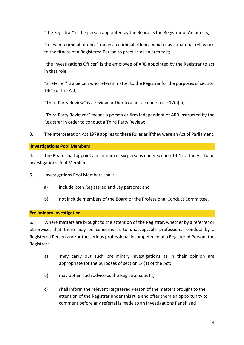"the Registrar" is the person appointed by the Board as the Registrar of Architects;

"relevant criminal offence" means a criminal offence which has a material relevance to the fitness of a Registered Person to practise as an architect;

"the Investigations Officer" is the employee of ARB appointed by the Registrar to act in that role;

"a referrer" is a person who refers a matter to the Registrar for the purposes of section 14(1) of the Act;

"Third Party Review" is a review further to a notice under rule 17(a)(ii);

"Third Party Reviewer" means a person or firm independent of ARB instructed by the Registrar in order to conduct a Third Party Review;

3. The Interpretation Act 1978 applies to these Rules as if they were an Act of Parliament.

# **Investigations Pool Members**

4. The Board shall appoint a minimum of six persons under section 14(1) of the Act to be Investigations Pool Members.

5. Investigations Pool Members shall:

- a) include both Registered and Lay persons; and
- b) not include members of the Board or the Professional Conduct Committee.

# **Preliminary Investigation**

6. Where matters are brought to the attention of the Registrar, whether by a referrer or otherwise, that there may be concerns as to unacceptable professional conduct by a Registered Person and/or the serious professional incompetence of a Registered Person, the Registrar:

- a) may carry out such preliminary investigations as in their opinion are appropriate for the purposes of section 14(1) of the Act;
- b) may obtain such advice as the Registrar sees fit;
- c) shall inform the relevant Registered Person of the matters brought to the attention of the Registrar under this rule and offer them an opportunity to comment before any referral is made to an Investigations Panel; and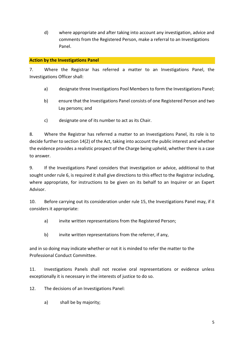d) where appropriate and after taking into account any investigation, advice and comments from the Registered Person, make a referral to an Investigations Panel.

# **Action by the Investigations Panel**

7. Where the Registrar has referred a matter to an Investigations Panel, the Investigations Officer shall:

- a) designate three Investigations Pool Members to form the Investigations Panel;
- b) ensure that the Investigations Panel consists of one Registered Person and two Lay persons; and
- c) designate one of its number to act as its Chair.

8. Where the Registrar has referred a matter to an Investigations Panel, its role is to decide further to section 14(2) of the Act, taking into account the public interest and whether the evidence provides a realistic prospect of the Charge being upheld, whether there is a case to answer.

9. If the Investigations Panel considers that investigation or advice, additional to that sought under rule 6, is required it shall give directions to this effect to the Registrar including, where appropriate, for instructions to be given on its behalf to an Inquirer or an Expert Advisor.

10. Before carrying out its consideration under rule 15, the Investigations Panel may, if it considers it appropriate:

- a) invite written representations from the Registered Person;
- b) invite written representations from the referrer, if any,

and in so doing may indicate whether or not it is minded to refer the matter to the Professional Conduct Committee.

11. Investigations Panels shall not receive oral representations or evidence unless exceptionally it is necessary in the interests of justice to do so.

12. The decisions of an Investigations Panel:

a) shall be by majority;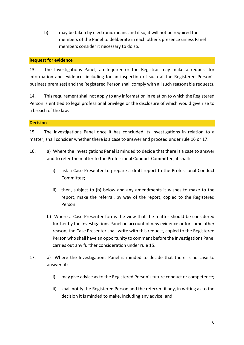b) may be taken by electronic means and if so, it will not be required for members of the Panel to deliberate in each other's presence unless Panel members consider it necessary to do so.

# **Request for evidence**

13. The Investigations Panel, an Inquirer or the Registrar may make a request for information and evidence (including for an inspection of such at the Registered Person's business premises) and the Registered Person shall comply with all such reasonable requests.

14. This requirement shall not apply to any information in relation to which the Registered Person is entitled to legal professional privilege or the disclosure of which would give rise to a breach of the law.

# **Decision**

15. The Investigations Panel once it has concluded its investigations in relation to a matter, shall consider whether there is a case to answer and proceed under rule 16 or 17.

- 16. a) Where the Investigations Panel is minded to decide that there is a case to answer and to refer the matter to the Professional Conduct Committee, it shall:
	- i) ask a Case Presenter to prepare a draft report to the Professional Conduct Committee;
	- ii) then, subject to (b) below and any amendments it wishes to make to the report, make the referral, by way of the report, copied to the Registered Person.
	- b) Where a Case Presenter forms the view that the matter should be considered further by the Investigations Panel on account of new evidence or for some other reason, the Case Presenter shall write with this request, copied to the Registered Person who shall have an opportunity to comment before the Investigations Panel carries out any further consideration under rule 15.
- 17. a) Where the Investigations Panel is minded to decide that there is no case to answer, it:
	- i) may give advice as to the Registered Person's future conduct or competence;
	- ii) shall notify the Registered Person and the referrer, if any, in writing as to the decision it is minded to make, including any advice; and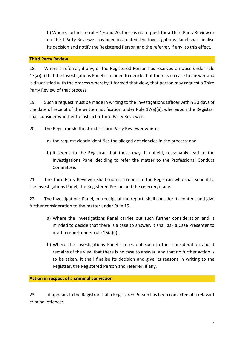b) Where, further to rules 19 and 20, there is no request for a Third Party Review or no Third Party Reviewer has been instructed, the Investigations Panel shall finalise its decision and notify the Registered Person and the referrer, if any, to this effect.

# **Third Party Review**

18. Where a referrer, if any, or the Registered Person has received a notice under rule 17(a)(ii) that the Investigations Panel is minded to decide that there is no case to answer and is dissatisfied with the process whereby it formed that view, that person may request a Third Party Review of that process.

19. Such a request must be made in writing to the Investigations Officer within 30 days of the date of receipt of the written notification under Rule 17(a)(ii), whereupon the Registrar shall consider whether to instruct a Third Party Reviewer.

20. The Registrar shall instruct a Third Party Reviewer where:

- a) the request clearly identifies the alleged deficiencies in the process; and
- b) it seems to the Registrar that these may, if upheld, reasonably lead to the Investigations Panel deciding to refer the matter to the Professional Conduct Committee.

21. The Third Party Reviewer shall submit a report to the Registrar, who shall send it to the Investigations Panel, the Registered Person and the referrer, if any.

22. The Investigations Panel, on receipt of the report, shall consider its content and give further consideration to the matter under Rule 15.

- a) Where the Investigations Panel carries out such further consideration and is minded to decide that there is a case to answer, it shall ask a Case Presenter to draft a report under rule 16(a)(i).
- b) Where the Investigations Panel carries out such further consideration and it remains of the view that there is no case to answer, and that no further action is to be taken, it shall finalise its decision and give its reasons in writing to the Registrar, the Registered Person and referrer, if any.

**Action in respect of a criminal conviction**

23. If it appears to the Registrar that a Registered Person has been convicted of a relevant criminal offence: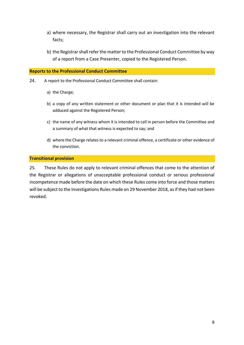- a) where necessary, the Registrar shall carry out an investigation into the relevant facts;
- b) the Registrar shall refer the matter to the Professional Conduct Committee by way of a report from a Case Presenter, copied to the Registered Person.

## **Reports to the Professional Conduct Committee**

- 24. A report to the Professional Conduct Committee shall contain:
	- a) the Charge;
	- b) a copy of any written statement or other document or plan that it is intended will be adduced against the Registered Person;
	- c) the name of any witness whom it is intended to call in person before the Committee and a summary of what that witness is expected to say; and
	- d) where the Charge relates to a relevant criminal offence, a certificate or other evidence of the conviction.

#### **Transitional provision**

25. These Rules do not apply to relevant criminal offences that come to the attention of the Registrar or allegations of unacceptable professional conduct or serious professional incompetence made before the date on which these Rules come into force and those matters will be subject to the Investigations Rules made on 29 November 2018, as if they had not been revoked.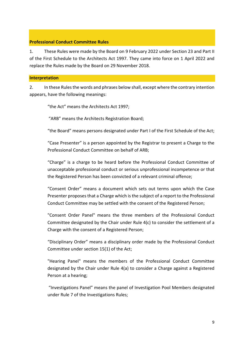## **Professional Conduct Committee Rules**

1. These Rules were made by the Board on 9 February 2022 under Section 23 and Part II of the First Schedule to the Architects Act 1997. They came into force on 1 April 2022 and replace the Rules made by the Board on 29 November 2018.

#### **Interpretation**

2. In these Rules the words and phrases below shall, except where the contrary intention appears, have the following meanings:

"the Act" means the Architects Act 1997;

"ARB" means the Architects Registration Board;

"the Board" means persons designated under Part I of the First Schedule of the Act;

"Case Presenter" is a person appointed by the Registrar to present a Charge to the Professional Conduct Committee on behalf of ARB;

"Charge" is a charge to be heard before the Professional Conduct Committee of unacceptable professional conduct or serious unprofessional incompetence or that the Registered Person has been convicted of a relevant criminal offence;

"Consent Order" means a document which sets out terms upon which the Case Presenter proposes that a Charge which is the subject of a report to the Professional Conduct Committee may be settled with the consent of the Registered Person;

"Consent Order Panel" means the three members of the Professional Conduct Committee designated by the Chair under Rule 4(c) to consider the settlement of a Charge with the consent of a Registered Person;

"Disciplinary Order" means a disciplinary order made by the Professional Conduct Committee under section 15(1) of the Act;

"Hearing Panel" means the members of the Professional Conduct Committee designated by the Chair under Rule 4(a) to consider a Charge against a Registered Person at a hearing;

"Investigations Panel" means the panel of Investigation Pool Members designated under Rule 7 of the Investigations Rules;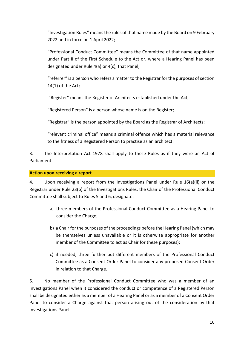"Investigation Rules" means the rules of that name made by the Board on 9 February 2022 and in force on 1 April 2022;

"Professional Conduct Committee" means the Committee of that name appointed under Part II of the First Schedule to the Act or, where a Hearing Panel has been designated under Rule 4(a) or 4(c), that Panel;

"referrer" is a person who refers a matter to the Registrar for the purposes of section 14(1) of the Act;

"Register" means the Register of Architects established under the Act;

"Registered Person" is a person whose name is on the Register;

"Registrar" is the person appointed by the Board as the Registrar of Architects;

"relevant criminal office" means a criminal offence which has a material relevance to the fitness of a Registered Person to practise as an architect.

3. The Interpretation Act 1978 shall apply to these Rules as if they were an Act of Parliament.

## **Action upon receiving a report**

4. Upon receiving a report from the Investigations Panel under Rule 16(a)(ii) or the Registrar under Rule 23(b) of the Investigations Rules, the Chair of the Professional Conduct Committee shall subject to Rules 5 and 6, designate:

- a) three members of the Professional Conduct Committee as a Hearing Panel to consider the Charge;
- b) a Chair for the purposes of the proceedings before the Hearing Panel (which may be themselves unless unavailable or it is otherwise appropriate for another member of the Committee to act as Chair for these purposes);
- c) if needed, three further but different members of the Professional Conduct Committee as a Consent Order Panel to consider any proposed Consent Order in relation to that Charge.

5. No member of the Professional Conduct Committee who was a member of an Investigations Panel when it considered the conduct or competence of a Registered Person shall be designated either as a member of a Hearing Panel or as a member of a Consent Order Panel to consider a Charge against that person arising out of the consideration by that Investigations Panel.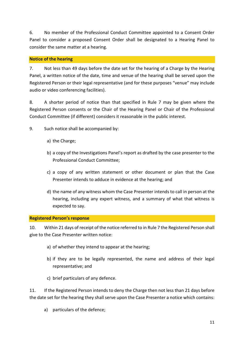6. No member of the Professional Conduct Committee appointed to a Consent Order Panel to consider a proposed Consent Order shall be designated to a Hearing Panel to consider the same matter at a hearing.

# **Notice of the hearing**

7. Not less than 49 days before the date set for the hearing of a Charge by the Hearing Panel, a written notice of the date, time and venue of the hearing shall be served upon the Registered Person or their legal representative (and for these purposes "venue" may include audio or video conferencing facilities).

8. A shorter period of notice than that specified in Rule 7 may be given where the Registered Person consents or the Chair of the Hearing Panel or Chair of the Professional Conduct Committee (if different) considers it reasonable in the public interest.

9. Such notice shall be accompanied by:

- a) the Charge;
- b) a copy of the Investigations Panel's report as drafted by the case presenter to the Professional Conduct Committee;
- c) a copy of any written statement or other document or plan that the Case Presenter intends to adduce in evidence at the hearing; and
- d) the name of any witness whom the Case Presenter intends to call in person at the hearing, including any expert witness, and a summary of what that witness is expected to say.

## **Registered Person's response**

10. Within 21 days of receipt of the notice referred to in Rule 7 the Registered Person shall give to the Case Presenter written notice:

- a) of whether they intend to appear at the hearing;
- b) if they are to be legally represented, the name and address of their legal representative; and
- c) brief particulars of any defence.

11. If the Registered Person intends to deny the Charge then not less than 21 days before the date set for the hearing they shall serve upon the Case Presenter a notice which contains:

a) particulars of the defence;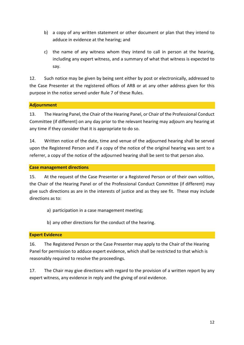- b) a copy of any written statement or other document or plan that they intend to adduce in evidence at the hearing; and
- c) the name of any witness whom they intend to call in person at the hearing, including any expert witness, and a summary of what that witness is expected to say.

12. Such notice may be given by being sent either by post or electronically, addressed to the Case Presenter at the registered offices of ARB or at any other address given for this purpose in the notice served under Rule 7 of these Rules.

# **Adjournment**

13. The Hearing Panel, the Chair of the Hearing Panel, or Chair of the Professional Conduct Committee (if different) on any day prior to the relevant hearing may adjourn any hearing at any time if they consider that it is appropriate to do so.

14. Written notice of the date, time and venue of the adjourned hearing shall be served upon the Registered Person and if a copy of the notice of the original hearing was sent to a referrer, a copy of the notice of the adjourned hearing shall be sent to that person also.

# **Case management directions**

15. At the request of the Case Presenter or a Registered Person or of their own volition, the Chair of the Hearing Panel or of the Professional Conduct Committee (if different) may give such directions as are in the interests of justice and as they see fit. These may include directions as to:

- a) participation in a case management meeting;
- b) any other directions for the conduct of the hearing.

# **Expert Evidence**

16. The Registered Person or the Case Presenter may apply to the Chair of the Hearing Panel for permission to adduce expert evidence, which shall be restricted to that which is reasonably required to resolve the proceedings.

17. The Chair may give directions with regard to the provision of a written report by any expert witness, any evidence in reply and the giving of oral evidence.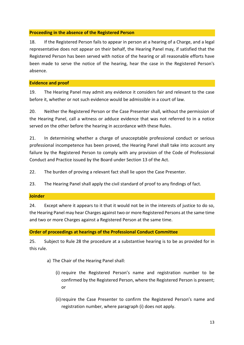# **Proceeding in the absence of the Registered Person**

18. If the Registered Person fails to appear in person at a hearing of a Charge, and a legal representative does not appear on their behalf, the Hearing Panel may, if satisfied that the Registered Person has been served with notice of the hearing or all reasonable efforts have been made to serve the notice of the hearing, hear the case in the Registered Person's absence.

# **Evidence and proof**

19. The Hearing Panel may admit any evidence it considers fair and relevant to the case before it, whether or not such evidence would be admissible in a court of law*.*

20. Neither the Registered Person or the Case Presenter shall, without the permission of the Hearing Panel, call a witness or adduce evidence that was not referred to in a notice served on the other before the hearing in accordance with these Rules.

21. In determining whether a charge of unacceptable professional conduct or serious professional incompetence has been proved, the Hearing Panel shall take into account any failure by the Registered Person to comply with any provision of the Code of Professional Conduct and Practice issued by the Board under Section 13 of the Act.

22. The burden of proving a relevant fact shall lie upon the Case Presenter.

23. The Hearing Panel shall apply the civil standard of proof to any findings of fact.

## **Joinder**

24. Except where it appears to it that it would not be in the interests of justice to do so, the Hearing Panel may hear Charges against two or more Registered Persons at the same time and two or more Charges against a Registered Person at the same time.

# **Order of proceedings at hearings of the Professional Conduct Committee**

25. Subject to Rule 28 the procedure at a substantive hearing is to be as provided for in this rule.

- a) The Chair of the Hearing Panel shall:
	- (i) require the Registered Person's name and registration number to be confirmed by the Registered Person, where the Registered Person is present; or
	- (ii) require the Case Presenter to confirm the Registered Person's name and registration number, where paragraph (i) does not apply.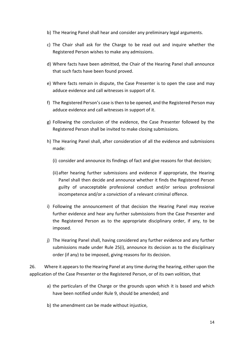- b) The Hearing Panel shall hear and consider any preliminary legal arguments.
- c) The Chair shall ask for the Charge to be read out and inquire whether the Registered Person wishes to make any admissions.
- d) Where facts have been admitted, the Chair of the Hearing Panel shall announce that such facts have been found proved.
- e) Where facts remain in dispute, the Case Presenter is to open the case and may adduce evidence and call witnesses in support of it.
- f) The Registered Person's case is then to be opened, and the Registered Person may adduce evidence and call witnesses in support of it.
- g) Following the conclusion of the evidence, the Case Presenter followed by the Registered Person shall be invited to make closing submissions.
- h) The Hearing Panel shall, after consideration of all the evidence and submissions made:
	- (i) consider and announce its findings of fact and give reasons for that decision;
	- (ii)after hearing further submissions and evidence if appropriate, the Hearing Panel shall then decide and announce whether it finds the Registered Person guilty of unacceptable professional conduct and/or serious professional incompetence and/or a conviction of a relevant criminal offence.
- i) Following the announcement of that decision the Hearing Panel may receive further evidence and hear any further submissions from the Case Presenter and the Registered Person as to the appropriate disciplinary order, if any, to be imposed.
- j) The Hearing Panel shall, having considered any further evidence and any further submissions made under Rule 25(i), announce its decision as to the disciplinary order (if any) to be imposed, giving reasons for its decision.

26. Where it appears to the Hearing Panel at any time during the hearing, either upon the application of the Case Presenter or the Registered Person, or of its own volition, that

- a) the particulars of the Charge or the grounds upon which it is based and which have been notified under Rule 9, should be amended; and
- b) the amendment can be made without injustice,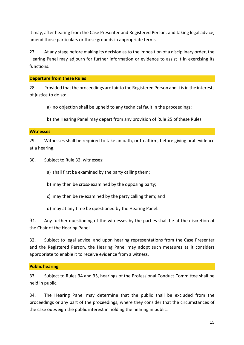it may, after hearing from the Case Presenter and Registered Person, and taking legal advice, amend those particulars or those grounds in appropriate terms.

27. At any stage before making its decision as to the imposition of a disciplinary order, the Hearing Panel may adjourn for further information or evidence to assist it in exercising its functions.

## **Departure from these Rules**

28. Provided that the proceedings are fair to the Registered Person and it is in the interests of justice to do so:

a) no objection shall be upheld to any technical fault in the proceedings;

b) the Hearing Panel may depart from any provision of Rule 25 of these Rules.

# **Witnesses**

29. Witnesses shall be required to take an oath, or to affirm, before giving oral evidence at a hearing.

30. Subject to Rule 32, witnesses:

- a) shall first be examined by the party calling them;
- b) may then be cross-examined by the opposing party;
- c) may then be re-examined by the party calling them; and
- d) may at any time be questioned by the Hearing Panel.

31. Any further questioning of the witnesses by the parties shall be at the discretion of the Chair of the Hearing Panel.

32. Subject to legal advice, and upon hearing representations from the Case Presenter and the Registered Person, the Hearing Panel may adopt such measures as it considers appropriate to enable it to receive evidence from a witness.

# **Public hearing**

33. Subject to Rules 34 and 35, hearings of the Professional Conduct Committee shall be held in public.

34. The Hearing Panel may determine that the public shall be excluded from the proceedings or any part of the proceedings, where they consider that the circumstances of the case outweigh the public interest in holding the hearing in public.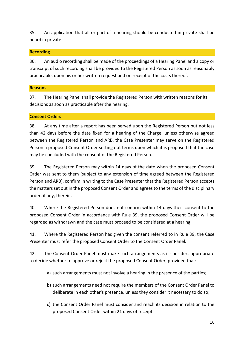35. An application that all or part of a hearing should be conducted in private shall be heard in private.

# **Recording**

36. An audio recording shall be made of the proceedings of a Hearing Panel and a copy or transcript of such recording shall be provided to the Registered Person as soon as reasonably practicable, upon his or her written request and on receipt of the costs thereof.

# **Reasons**

37. The Hearing Panel shall provide the Registered Person with written reasons for its decisions as soon as practicable after the hearing.

# **Consent Orders**

38. At any time after a report has been served upon the Registered Person but not less than 42 days before the date fixed for a hearing of the Charge, unless otherwise agreed between the Registered Person and ARB, the Case Presenter may serve on the Registered Person a proposed Consent Order setting out terms upon which it is proposed that the case may be concluded with the consent of the Registered Person.

39. The Registered Person may within 14 days of the date when the proposed Consent Order was sent to them (subject to any extension of time agreed between the Registered Person and ARB), confirm in writing to the Case Presenter that the Registered Person accepts the matters set out in the proposed Consent Order and agrees to the terms of the disciplinary order, if any, therein.

40. Where the Registered Person does not confirm within 14 days their consent to the proposed Consent Order in accordance with Rule 39, the proposed Consent Order will be regarded as withdrawn and the case must proceed to be considered at a hearing.

41. Where the Registered Person has given the consent referred to in Rule 39, the Case Presenter must refer the proposed Consent Order to the Consent Order Panel.

42. The Consent Order Panel must make such arrangements as it considers appropriate to decide whether to approve or reject the proposed Consent Order, provided that:

- a) such arrangements must not involve a hearing in the presence of the parties;
- b) such arrangements need not require the members of the Consent Order Panel to deliberate in each other's presence, unless they consider it necessary to do so;
- c) the Consent Order Panel must consider and reach its decision in relation to the proposed Consent Order within 21 days of receipt.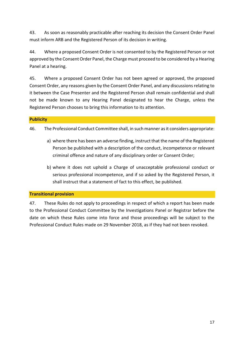43. As soon as reasonably practicable after reaching its decision the Consent Order Panel must inform ARB and the Registered Person of its decision in writing.

44. Where a proposed Consent Order is not consented to by the Registered Person or not approved by the Consent Order Panel, the Charge must proceed to be considered by a Hearing Panel at a hearing.

45. Where a proposed Consent Order has not been agreed or approved, the proposed Consent Order, any reasons given by the Consent Order Panel, and any discussions relating to it between the Case Presenter and the Registered Person shall remain confidential and shall not be made known to any Hearing Panel designated to hear the Charge, unless the Registered Person chooses to bring this information to its attention.

# **Publicity**

46. The Professional Conduct Committee shall, in such manner as it considers appropriate:

- a) where there has been an adverse finding, instruct that the name of the Registered Person be published with a description of the conduct, incompetence or relevant criminal offence and nature of any disciplinary order or Consent Order;
- b) where it does not uphold a Charge of unacceptable professional conduct or serious professional incompetence, and if so asked by the Registered Person, it shall instruct that a statement of fact to this effect, be published.

## **Transitional provision**

47. These Rules do not apply to proceedings in respect of which a report has been made to the Professional Conduct Committee by the Investigations Panel or Registrar before the date on which these Rules come into force and those proceedings will be subject to the Professional Conduct Rules made on 29 November 2018, as if they had not been revoked.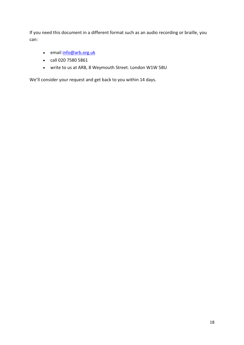If you need this document in a different format such as an audio recording or braille, you can:

- email [info@arb.org.uk](mailto:info@arb.org.uk)
- call 020 7580 5861
- write to us at ARB, 8 Weymouth Street. London W1W 5BU

We'll consider your request and get back to you within 14 days.